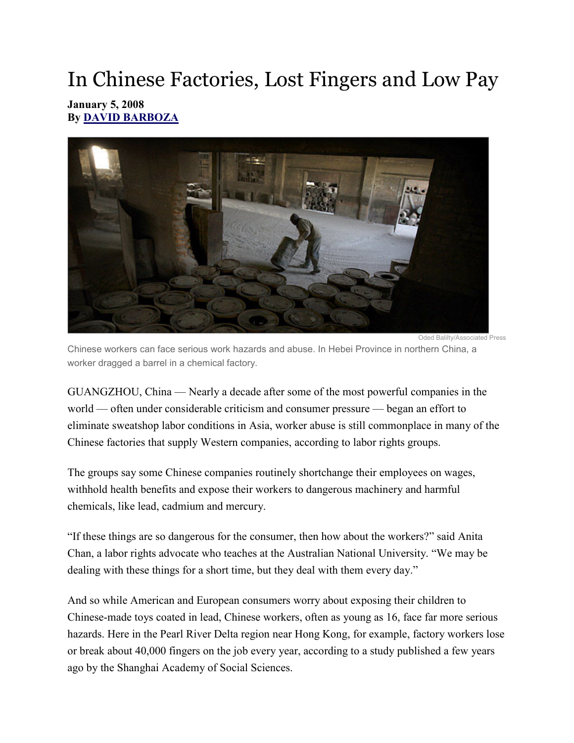## In Chinese Factories, Lost Fingers and Low Pay

## January 5, 2008 By DAVID BARBOZA



Chinese workers can face serious work hazards and abuse. In Hebei Province in northern China, a worker dragged a barrel in a chemical factory.

GUANGZHOU, China — Nearly a decade after some of the most powerful companies in the world — often under considerable criticism and consumer pressure — began an effort to eliminate sweatshop labor conditions in Asia, worker abuse is still commonplace in many of the Chinese factories that supply Western companies, according to labor rights groups.

The groups say some Chinese companies routinely shortchange their employees on wages, withhold health benefits and expose their workers to dangerous machinery and harmful chemicals, like lead, cadmium and mercury.

"If these things are so dangerous for the consumer, then how about the workers?" said Anita Chan, a labor rights advocate who teaches at the Australian National University. "We may be dealing with these things for a short time, but they deal with them every day."

And so while American and European consumers worry about exposing their children to Chinese-made toys coated in lead, Chinese workers, often as young as 16, face far more serious hazards. Here in the Pearl River Delta region near Hong Kong, for example, factory workers lose or break about 40,000 fingers on the job every year, according to a study published a few years ago by the Shanghai Academy of Social Sciences.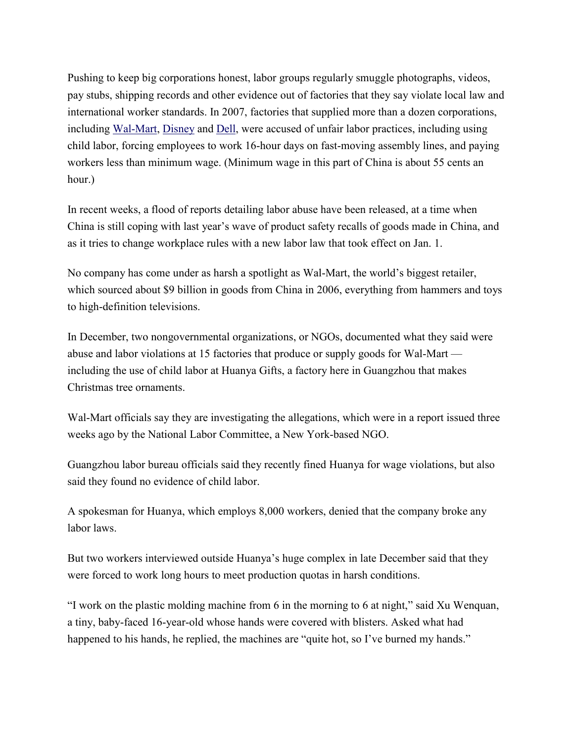Pushing to keep big corporations honest, labor groups regularly smuggle photographs, videos, pay stubs, shipping records and other evidence out of factories that they say violate local law and international worker standards. In 2007, factories that supplied more than a dozen corporations, including Wal-Mart, Disney and Dell, were accused of unfair labor practices, including using child labor, forcing employees to work 16-hour days on fast-moving assembly lines, and paying workers less than minimum wage. (Minimum wage in this part of China is about 55 cents an hour.)

In recent weeks, a flood of reports detailing labor abuse have been released, at a time when China is still coping with last year's wave of product safety recalls of goods made in China, and as it tries to change workplace rules with a new labor law that took effect on Jan. 1.

No company has come under as harsh a spotlight as Wal-Mart, the world's biggest retailer, which sourced about \$9 billion in goods from China in 2006, everything from hammers and toys to high-definition televisions.

In December, two nongovernmental organizations, or NGOs, documented what they said were abuse and labor violations at 15 factories that produce or supply goods for Wal-Mart including the use of child labor at Huanya Gifts, a factory here in Guangzhou that makes Christmas tree ornaments.

Wal-Mart officials say they are investigating the allegations, which were in a report issued three weeks ago by the National Labor Committee, a New York-based NGO.

Guangzhou labor bureau officials said they recently fined Huanya for wage violations, but also said they found no evidence of child labor.

A spokesman for Huanya, which employs 8,000 workers, denied that the company broke any labor laws.

But two workers interviewed outside Huanya's huge complex in late December said that they were forced to work long hours to meet production quotas in harsh conditions.

"I work on the plastic molding machine from 6 in the morning to 6 at night," said Xu Wenquan, a tiny, baby-faced 16-year-old whose hands were covered with blisters. Asked what had happened to his hands, he replied, the machines are "quite hot, so I've burned my hands."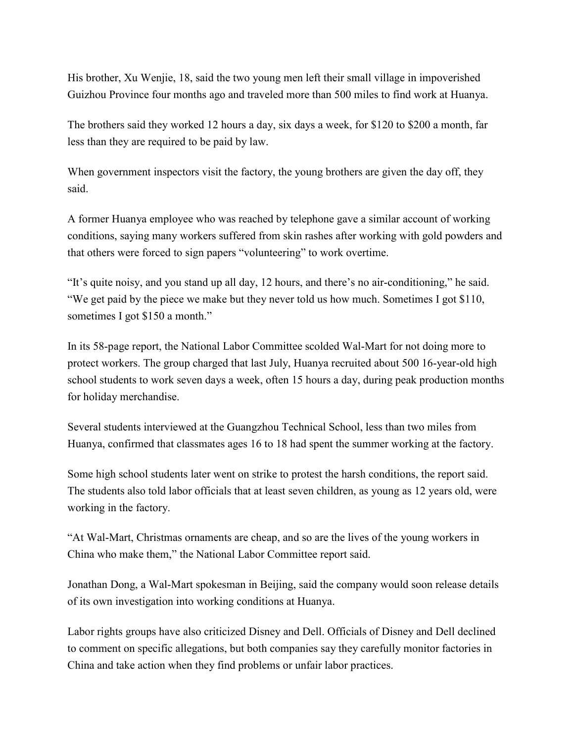His brother, Xu Wenjie, 18, said the two young men left their small village in impoverished Guizhou Province four months ago and traveled more than 500 miles to find work at Huanya.

The brothers said they worked 12 hours a day, six days a week, for \$120 to \$200 a month, far less than they are required to be paid by law.

When government inspectors visit the factory, the young brothers are given the day off, they said.

A former Huanya employee who was reached by telephone gave a similar account of working conditions, saying many workers suffered from skin rashes after working with gold powders and that others were forced to sign papers "volunteering" to work overtime.

"It's quite noisy, and you stand up all day, 12 hours, and there's no air-conditioning," he said. "We get paid by the piece we make but they never told us how much. Sometimes I got \$110, sometimes I got \$150 a month."

In its 58-page report, the National Labor Committee scolded Wal-Mart for not doing more to protect workers. The group charged that last July, Huanya recruited about 500 16-year-old high school students to work seven days a week, often 15 hours a day, during peak production months for holiday merchandise.

Several students interviewed at the Guangzhou Technical School, less than two miles from Huanya, confirmed that classmates ages 16 to 18 had spent the summer working at the factory.

Some high school students later went on strike to protest the harsh conditions, the report said. The students also told labor officials that at least seven children, as young as 12 years old, were working in the factory.

"At Wal-Mart, Christmas ornaments are cheap, and so are the lives of the young workers in China who make them," the National Labor Committee report said.

Jonathan Dong, a Wal-Mart spokesman in Beijing, said the company would soon release details of its own investigation into working conditions at Huanya.

Labor rights groups have also criticized Disney and Dell. Officials of Disney and Dell declined to comment on specific allegations, but both companies say they carefully monitor factories in China and take action when they find problems or unfair labor practices.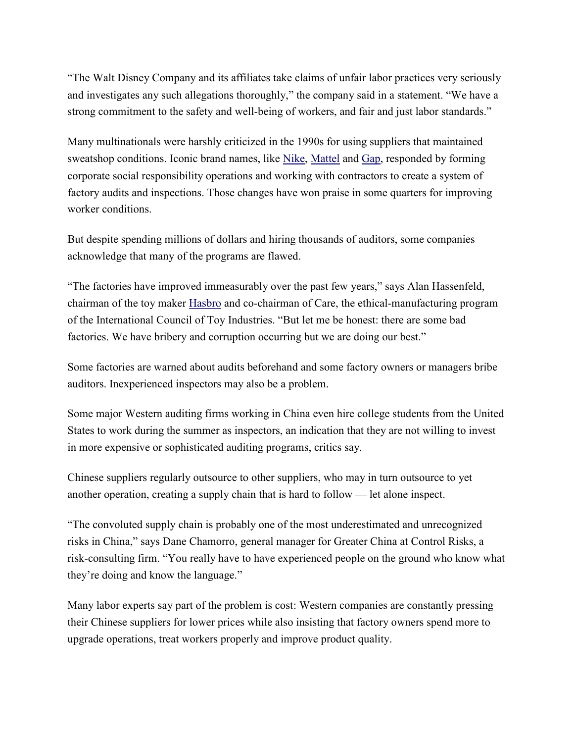"The Walt Disney Company and its affiliates take claims of unfair labor practices very seriously and investigates any such allegations thoroughly," the company said in a statement. "We have a strong commitment to the safety and well-being of workers, and fair and just labor standards."

Many multinationals were harshly criticized in the 1990s for using suppliers that maintained sweatshop conditions. Iconic brand names, like Nike, Mattel and Gap, responded by forming corporate social responsibility operations and working with contractors to create a system of factory audits and inspections. Those changes have won praise in some quarters for improving worker conditions.

But despite spending millions of dollars and hiring thousands of auditors, some companies acknowledge that many of the programs are flawed.

"The factories have improved immeasurably over the past few years," says Alan Hassenfeld, chairman of the toy maker Hasbro and co-chairman of Care, the ethical-manufacturing program of the International Council of Toy Industries. "But let me be honest: there are some bad factories. We have bribery and corruption occurring but we are doing our best."

Some factories are warned about audits beforehand and some factory owners or managers bribe auditors. Inexperienced inspectors may also be a problem.

Some major Western auditing firms working in China even hire college students from the United States to work during the summer as inspectors, an indication that they are not willing to invest in more expensive or sophisticated auditing programs, critics say.

Chinese suppliers regularly outsource to other suppliers, who may in turn outsource to yet another operation, creating a supply chain that is hard to follow — let alone inspect.

"The convoluted supply chain is probably one of the most underestimated and unrecognized risks in China," says Dane Chamorro, general manager for Greater China at Control Risks, a risk-consulting firm. "You really have to have experienced people on the ground who know what they're doing and know the language."

Many labor experts say part of the problem is cost: Western companies are constantly pressing their Chinese suppliers for lower prices while also insisting that factory owners spend more to upgrade operations, treat workers properly and improve product quality.